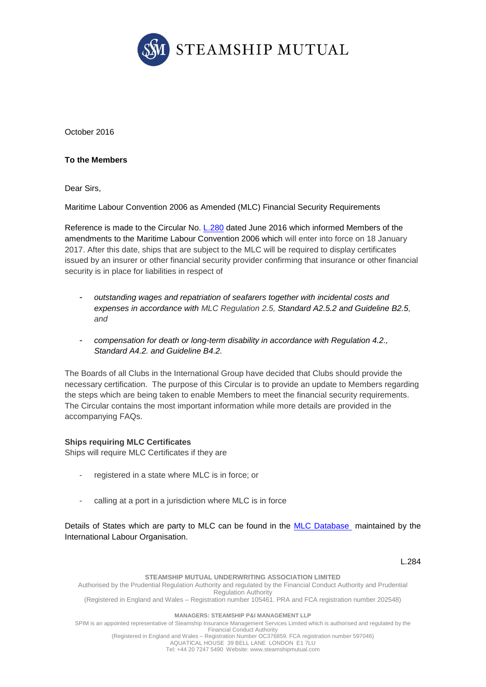

October 2016

# **To the Members**

Dear Sirs,

Maritime Labour Convention 2006 as Amended (MLC) Financial Security Requirements

Reference is made to the Circular No. [L.280](http://www.steamshipmutual.com/Downloads/Circulars-London/L.280.pdf) dated June 2016 which informed Members of the amendments to the Maritime Labour Convention 2006 which will enter into force on 18 January 2017. After this date, ships that are subject to the MLC will be required to display certificates issued by an insurer or other financial security provider confirming that insurance or other financial security is in place for liabilities in respect of

- *outstanding wages and repatriation of seafarers together with incidental costs and expenses in accordance with MLC Regulation 2.5, Standard A2.5.2 and Guideline B2.5, and*
- *compensation for death or long-term disability in accordance with Regulation 4.2., Standard A4.2. and Guideline B4.2.*

The Boards of all Clubs in the International Group have decided that Clubs should provide the necessary certification. The purpose of this Circular is to provide an update to Members regarding the steps which are being taken to enable Members to meet the financial security requirements. The Circular contains the most important information while more details are provided in the accompanying FAQs.

## **Ships requiring MLC Certificates**

Ships will require MLC Certificates if they are

- registered in a state where MLC is in force; or
- calling at a port in a jurisdiction where MLC is in force

Details of States which are party to MLC can be found in the **MLC Database** maintained by the International Labour Organisation.

L.284

#### **STEAMSHIP MUTUAL UNDERWRITING ASSOCIATION LIMITED** Authorised by the Prudential Regulation Authority and regulated by the Financial Conduct Authority and Prudential Regulation Authority (Registered in England and Wales – Registration number 105461. PRA and FCA registration number 202548) **MANAGERS: STEAMSHIP P&I MANAGEMENT LLP** SPIM is an appointed representative of Steamship Insurance Management Services Limited which is authorised and regulated by the Financial Conduct Authority (Registered in England and Wales – Registration Number OC376859. FCA registration number 597046)

AQUATICAL HOUSE 39 BELL LANE LONDON E1 7LU Tel: +44 20 7247 5490 Website: [www.steamshipmutual.com](http://www.steamshipmutual.com/)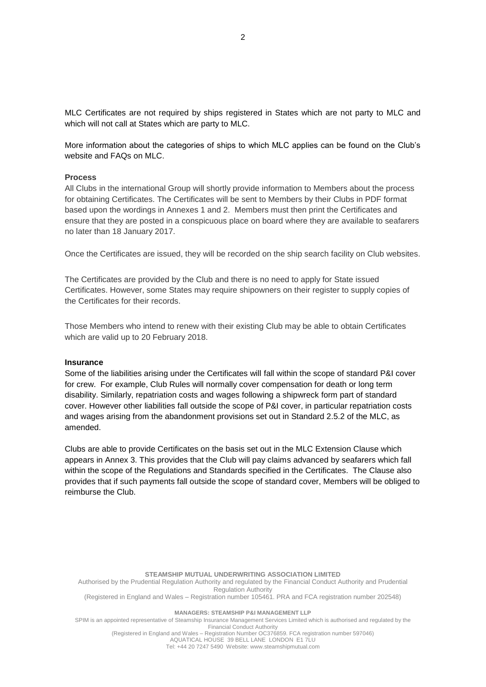MLC Certificates are not required by ships registered in States which are not party to MLC and which will not call at States which are party to MLC.

More information about the categories of ships to which MLC applies can be found on the Club's website and FAQs on MLC.

#### **Process**

All Clubs in the international Group will shortly provide information to Members about the process for obtaining Certificates. The Certificates will be sent to Members by their Clubs in PDF format based upon the wordings in Annexes 1 and 2. Members must then print the Certificates and ensure that they are posted in a conspicuous place on board where they are available to seafarers no later than 18 January 2017.

Once the Certificates are issued, they will be recorded on the ship search facility on Club websites.

The Certificates are provided by the Club and there is no need to apply for State issued Certificates. However, some States may require shipowners on their register to supply copies of the Certificates for their records.

Those Members who intend to renew with their existing Club may be able to obtain Certificates which are valid up to 20 February 2018.

#### **Insurance**

Some of the liabilities arising under the Certificates will fall within the scope of standard P&I cover for crew. For example, Club Rules will normally cover compensation for death or long term disability. Similarly, repatriation costs and wages following a shipwreck form part of standard cover. However other liabilities fall outside the scope of P&I cover, in particular repatriation costs and wages arising from the abandonment provisions set out in Standard 2.5.2 of the MLC, as amended.

Clubs are able to provide Certificates on the basis set out in the MLC Extension Clause which appears in Annex 3. This provides that the Club will pay claims advanced by seafarers which fall within the scope of the Regulations and Standards specified in the Certificates. The Clause also provides that if such payments fall outside the scope of standard cover, Members will be obliged to reimburse the Club.

**STEAMSHIP MUTUAL UNDERWRITING ASSOCIATION LIMITED**

Authorised by the Prudential Regulation Authority and regulated by the Financial Conduct Authority and Prudential Regulation Authority

(Registered in England and Wales – Registration number 105461. PRA and FCA registration number 202548)

**MANAGERS: STEAMSHIP P&I MANAGEMENT LLP**

SPIM is an appointed representative of Steamship Insurance Management Services Limited which is authorised and regulated by the Financial Conduct Authority

> (Registered in England and Wales – Registration Number OC376859. FCA registration number 597046) AQUATICAL HOUSE 39 BELL LANE LONDON E1 7LU Tel: +44 20 7247 5490 Website: [www.steamshipmutual.com](http://www.steamshipmutual.com/)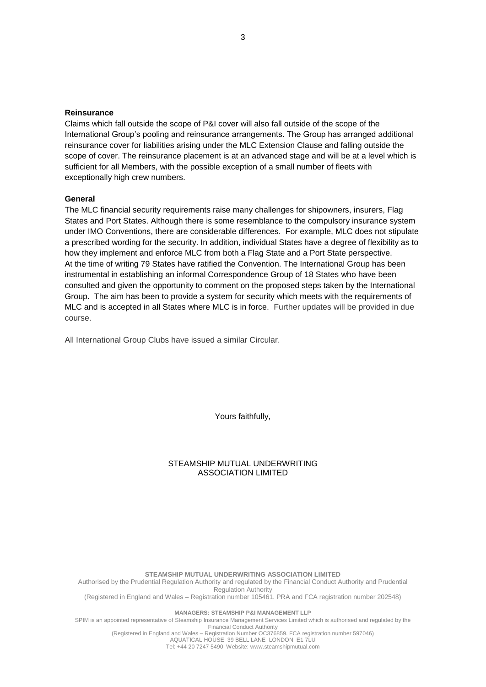#### **Reinsurance**

Claims which fall outside the scope of P&I cover will also fall outside of the scope of the International Group's pooling and reinsurance arrangements. The Group has arranged additional reinsurance cover for liabilities arising under the MLC Extension Clause and falling outside the scope of cover. The reinsurance placement is at an advanced stage and will be at a level which is sufficient for all Members, with the possible exception of a small number of fleets with exceptionally high crew numbers.

#### **General**

The MLC financial security requirements raise many challenges for shipowners, insurers, Flag States and Port States. Although there is some resemblance to the compulsory insurance system under IMO Conventions, there are considerable differences. For example, MLC does not stipulate a prescribed wording for the security. In addition, individual States have a degree of flexibility as to how they implement and enforce MLC from both a Flag State and a Port State perspective. At the time of writing 79 States have ratified the Convention. The International Group has been instrumental in establishing an informal Correspondence Group of 18 States who have been consulted and given the opportunity to comment on the proposed steps taken by the International Group. The aim has been to provide a system for security which meets with the requirements of MLC and is accepted in all States where MLC is in force. Further updates will be provided in due course.

All International Group Clubs have issued a similar Circular.

Yours faithfully,

#### STEAMSHIP MUTUAL UNDERWRITING ASSOCIATION LIMITED

**STEAMSHIP MUTUAL UNDERWRITING ASSOCIATION LIMITED** Authorised by the Prudential Regulation Authority and regulated by the Financial Conduct Authority and Prudential Regulation Authority (Registered in England and Wales – Registration number 105461. PRA and FCA registration number 202548)

**MANAGERS: STEAMSHIP P&I MANAGEMENT LLP**

SPIM is an appointed representative of Steamship Insurance Management Services Limited which is authorised and regulated by the Financial Conduct Authority

(Registered in England and Wales – Registration Number OC376859. FCA registration number 597046) AQUATICAL HOUSE 39 BELL LANE LONDON E1 7LU Tel: +44 20 7247 5490 Website: [www.steamshipmutual.com](http://www.steamshipmutual.com/)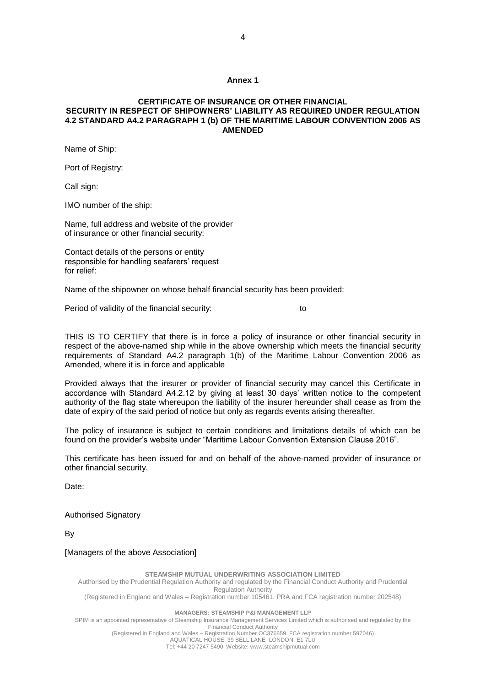#### **Annex 1**

#### **CERTIFICATE OF INSURANCE OR OTHER FINANCIAL SECURITY IN RESPECT OF SHIPOWNERS' LIABILITY AS REQUIRED UNDER REGULATION 4.2 STANDARD A4.2 PARAGRAPH 1 (b) OF THE MARITIME LABOUR CONVENTION 2006 AS AMENDED**

Name of Ship:

Port of Registry:

Call sign:

IMO number of the ship:

Name, full address and website of the provider of insurance or other financial security:

Contact details of the persons or entity responsible for handling seafarers' request for relief:

Name of the shipowner on whose behalf financial security has been provided:

Period of validity of the financial security: to to

THIS IS TO CERTIFY that there is in force a policy of insurance or other financial security in respect of the above-named ship while in the above ownership which meets the financial security requirements of Standard A4.2 paragraph 1(b) of the Maritime Labour Convention 2006 as Amended, where it is in force and applicable

Provided always that the insurer or provider of financial security may cancel this Certificate in accordance with Standard A4.2.12 by giving at least 30 days' written notice to the competent authority of the flag state whereupon the liability of the insurer hereunder shall cease as from the date of expiry of the said period of notice but only as regards events arising thereafter.

The policy of insurance is subject to certain conditions and limitations details of which can be found on the provider's website under "Maritime Labour Convention Extension Clause 2016".

This certificate has been issued for and on behalf of the above-named provider of insurance or other financial security.

Date:

Authorised Signatory

By

#### [Managers of the above Association]

#### **STEAMSHIP MUTUAL UNDERWRITING ASSOCIATION LIMITED**

Authorised by the Prudential Regulation Authority and regulated by the Financial Conduct Authority and Prudential Regulation Authority

(Registered in England and Wales – Registration number 105461. PRA and FCA registration number 202548)

**MANAGERS: STEAMSHIP P&I MANAGEMENT LLP**

SPIM is an appointed representative of Steamship Insurance Management Services Limited which is authorised and regulated by the Financial Conduct Authority

(Registered in England and Wales – Registration Number OC376859. FCA registration number 597046) AQUATICAL HOUSE 39 BELL LANE LONDON E1 7LU

Tel: +44 20 7247 5490 Website: [www.steamshipmutual.com](http://www.steamshipmutual.com/)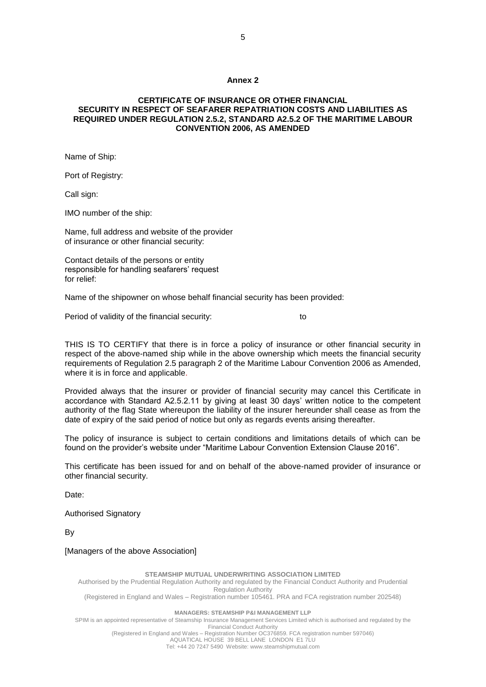#### **Annex 2**

#### **CERTIFICATE OF INSURANCE OR OTHER FINANCIAL SECURITY IN RESPECT OF SEAFARER REPATRIATION COSTS AND LIABILITIES AS REQUIRED UNDER REGULATION 2.5.2, STANDARD A2.5.2 OF THE MARITIME LABOUR CONVENTION 2006, AS AMENDED**

Name of Ship:

Port of Registry:

Call sign:

IMO number of the ship:

Name, full address and website of the provider of insurance or other financial security:

Contact details of the persons or entity responsible for handling seafarers' request for relief:

Name of the shipowner on whose behalf financial security has been provided:

Period of validity of the financial security: to to

THIS IS TO CERTIFY that there is in force a policy of insurance or other financial security in respect of the above-named ship while in the above ownership which meets the financial security requirements of Regulation 2.5 paragraph 2 of the Maritime Labour Convention 2006 as Amended, where it is in force and applicable.

Provided always that the insurer or provider of financial security may cancel this Certificate in accordance with Standard A2.5.2.11 by giving at least 30 days' written notice to the competent authority of the flag State whereupon the liability of the insurer hereunder shall cease as from the date of expiry of the said period of notice but only as regards events arising thereafter.

The policy of insurance is subject to certain conditions and limitations details of which can be found on the provider's website under "Maritime Labour Convention Extension Clause 2016".

This certificate has been issued for and on behalf of the above-named provider of insurance or other financial security.

Date:

Authorised Signatory

By

#### [Managers of the above Association]

**STEAMSHIP MUTUAL UNDERWRITING ASSOCIATION LIMITED** Authorised by the Prudential Regulation Authority and regulated by the Financial Conduct Authority and Prudential Regulation Authority (Registered in England and Wales – Registration number 105461. PRA and FCA registration number 202548)

**MANAGERS: STEAMSHIP P&I MANAGEMENT LLP**

SPIM is an appointed representative of Steamship Insurance Management Services Limited which is authorised and regulated by the Financial Conduct Authority

(Registered in England and Wales – Registration Number OC376859. FCA registration number 597046) AQUATICAL HOUSE 39 BELL LANE LONDON E1 7LU

Tel: +44 20 7247 5490 Website: [www.steamshipmutual.com](http://www.steamshipmutual.com/)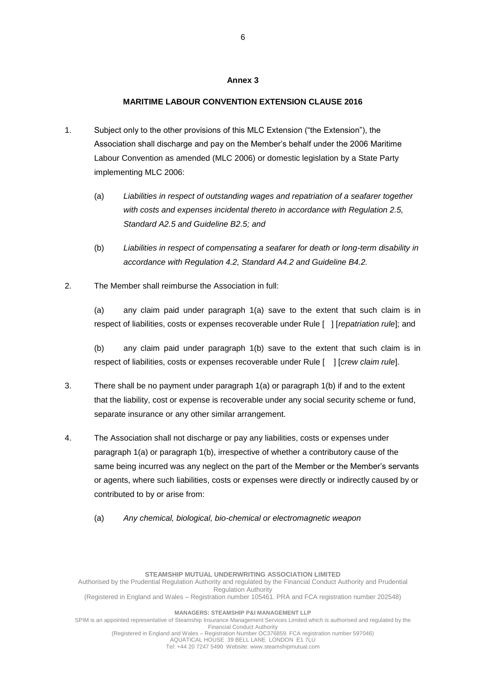#### **Annex 3**

#### **MARITIME LABOUR CONVENTION EXTENSION CLAUSE 2016**

- 1. Subject only to the other provisions of this MLC Extension ("the Extension"), the Association shall discharge and pay on the Member's behalf under the 2006 Maritime Labour Convention as amended (MLC 2006) or domestic legislation by a State Party implementing MLC 2006:
	- (a) *Liabilities in respect of outstanding wages and repatriation of a seafarer together with costs and expenses incidental thereto in accordance with Regulation 2.5, Standard A2.5 and Guideline B2.5; and*
	- (b) *Liabilities in respect of compensating a seafarer for death or long-term disability in accordance with Regulation 4.2, Standard A4.2 and Guideline B4.2.*
- 2. The Member shall reimburse the Association in full:

(a) any claim paid under paragraph 1(a) save to the extent that such claim is in respect of liabilities, costs or expenses recoverable under Rule [ ] [*repatriation rule*]; and

(b) any claim paid under paragraph 1(b) save to the extent that such claim is in respect of liabilities, costs or expenses recoverable under Rule [ ] [*crew claim rule*].

- 3. There shall be no payment under paragraph 1(a) or paragraph 1(b) if and to the extent that the liability, cost or expense is recoverable under any social security scheme or fund, separate insurance or any other similar arrangement.
- 4. The Association shall not discharge or pay any liabilities, costs or expenses under paragraph 1(a) or paragraph 1(b), irrespective of whether a contributory cause of the same being incurred was any neglect on the part of the Member or the Member's servants or agents, where such liabilities, costs or expenses were directly or indirectly caused by or contributed to by or arise from:
	- (a) *Any chemical, biological, bio-chemical or electromagnetic weapon*

(Registered in England and Wales – Registration Number OC376859. FCA registration number 597046) AQUATICAL HOUSE 39 BELL LANE LONDON E1 7LU Tel: +44 20 7247 5490 Website: [www.steamshipmutual.com](http://www.steamshipmutual.com/)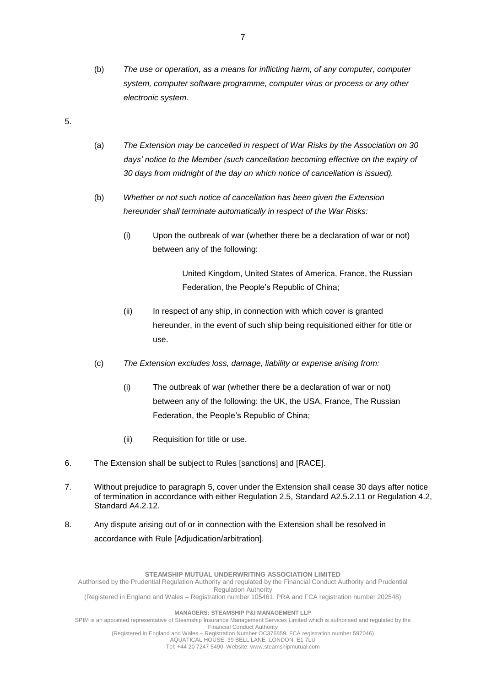- (b) *The use or operation, as a means for inflicting harm, of any computer, computer system, computer software programme, computer virus or process or any other electronic system.*
- 5.
- (a) *The Extension may be cancelled in respect of War Risks by the Association on 30 days' notice to the Member (such cancellation becoming effective on the expiry of 30 days from midnight of the day on which notice of cancellation is issued).*
- (b) *Whether or not such notice of cancellation has been given the Extension hereunder shall terminate automatically in respect of the War Risks:*
	- (i) Upon the outbreak of war (whether there be a declaration of war or not) between any of the following:

United Kingdom, United States of America, France, the Russian Federation, the People's Republic of China;

- (ii) In respect of any ship, in connection with which cover is granted hereunder, in the event of such ship being requisitioned either for title or use.
- (c) *The Extension excludes loss, damage, liability or expense arising from:*
	- (i) The outbreak of war (whether there be a declaration of war or not) between any of the following: the UK, the USA, France, The Russian Federation, the People's Republic of China;
	- (ii) Requisition for title or use.
- 6. The Extension shall be subject to Rules [sanctions] and [RACE].
- 7. Without prejudice to paragraph 5, cover under the Extension shall cease 30 days after notice of termination in accordance with either Regulation 2.5, Standard A2.5.2.11 or Regulation 4.2, Standard A4.2.12.
- 8. Any dispute arising out of or in connection with the Extension shall be resolved in accordance with Rule [Adjudication/arbitration].

AQUATICAL HOUSE 39 BELL LANE LONDON E1 7LU Tel: +44 20 7247 5490 Website: [www.steamshipmutual.com](http://www.steamshipmutual.com/)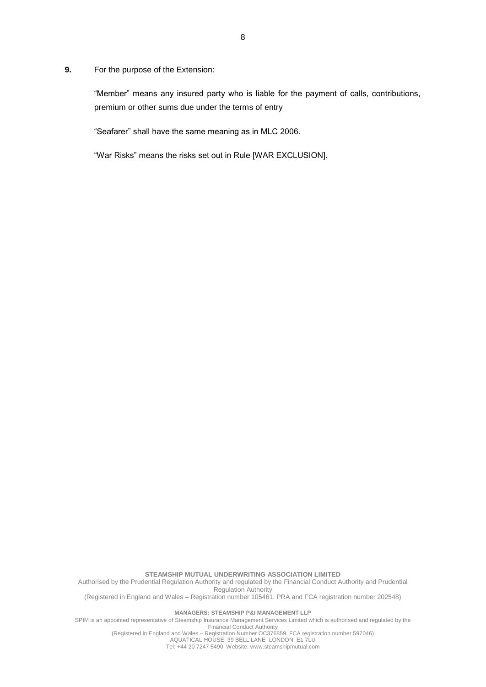**9.** For the purpose of the Extension:

"Member" means any insured party who is liable for the payment of calls, contributions, premium or other sums due under the terms of entry

"Seafarer" shall have the same meaning as in MLC 2006.

"War Risks" means the risks set out in Rule [WAR EXCLUSION].

**STEAMSHIP MUTUAL UNDERWRITING ASSOCIATION LIMITED** Authorised by the Prudential Regulation Authority and regulated by the Financial Conduct Authority and Prudential Regulation Authority (Registered in England and Wales – Registration number 105461. PRA and FCA registration number 202548)

**MANAGERS: STEAMSHIP P&I MANAGEMENT LLP**

SPIM is an appointed representative of Steamship Insurance Management Services Limited which is authorised and regulated by the Financial Conduct Authority

> (Registered in England and Wales – Registration Number OC376859. FCA registration number 597046) AQUATICAL HOUSE 39 BELL LANE LONDON E1 7LU

Tel: +44 20 7247 5490 Website: [www.steamshipmutual.com](http://www.steamshipmutual.com/)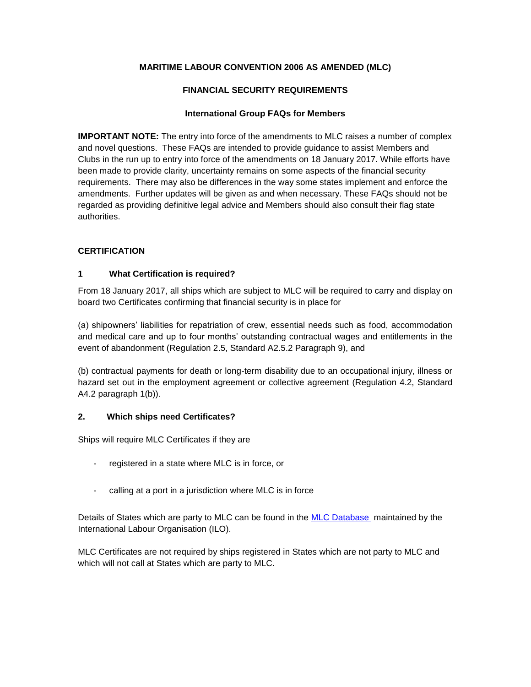# **MARITIME LABOUR CONVENTION 2006 AS AMENDED (MLC)**

# **FINANCIAL SECURITY REQUIREMENTS**

## **International Group FAQs for Members**

**IMPORTANT NOTE:** The entry into force of the amendments to MLC raises a number of complex and novel questions. These FAQs are intended to provide guidance to assist Members and Clubs in the run up to entry into force of the amendments on 18 January 2017. While efforts have been made to provide clarity, uncertainty remains on some aspects of the financial security requirements. There may also be differences in the way some states implement and enforce the amendments. Further updates will be given as and when necessary. These FAQs should not be regarded as providing definitive legal advice and Members should also consult their flag state authorities.

## **CERTIFICATION**

#### **1 What Certification is required?**

From 18 January 2017, all ships which are subject to MLC will be required to carry and display on board two Certificates confirming that financial security is in place for

(a) shipowners' liabilities for repatriation of crew, essential needs such as food, accommodation and medical care and up to four months' outstanding contractual wages and entitlements in the event of abandonment (Regulation 2.5, Standard A2.5.2 Paragraph 9), and

(b) contractual payments for death or long-term disability due to an occupational injury, illness or hazard set out in the employment agreement or collective agreement (Regulation 4.2, Standard A4.2 paragraph 1(b)).

## **2. Which ships need Certificates?**

Ships will require MLC Certificates if they are

- registered in a state where MLC is in force, or
- calling at a port in a jurisdiction where MLC is in force

Details of States which are party to MLC can be found in the [MLC Database](http://www.ilo.org/global/standards/maritime-labour-convention/database-ratification-implementation/lang--en/index.htm) maintained by the International Labour Organisation (ILO).

MLC Certificates are not required by ships registered in States which are not party to MLC and which will not call at States which are party to MLC.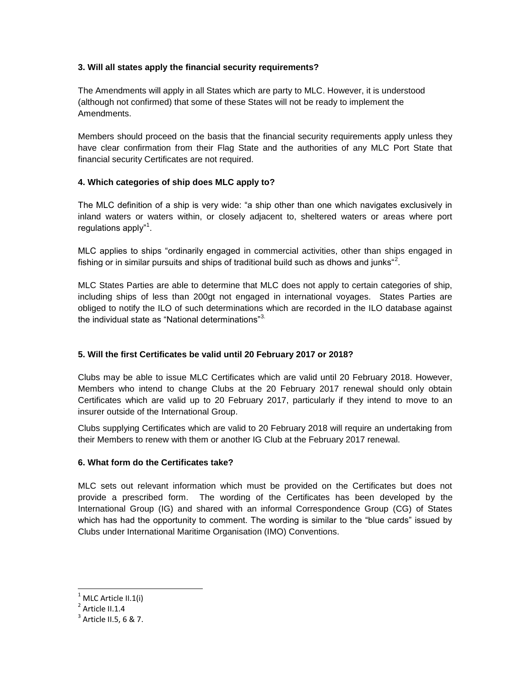## **3. Will all states apply the financial security requirements?**

The Amendments will apply in all States which are party to MLC. However, it is understood (although not confirmed) that some of these States will not be ready to implement the Amendments.

Members should proceed on the basis that the financial security requirements apply unless they have clear confirmation from their Flag State and the authorities of any MLC Port State that financial security Certificates are not required.

# **4. Which categories of ship does MLC apply to?**

The MLC definition of a ship is very wide: "a ship other than one which navigates exclusively in inland waters or waters within, or closely adjacent to, sheltered waters or areas where port regulations apply"<sup>1</sup>.

MLC applies to ships "ordinarily engaged in commercial activities, other than ships engaged in fishing or in similar pursuits and ships of traditional build such as dhows and junks"<sup>2</sup>.

MLC States Parties are able to determine that MLC does not apply to certain categories of ship, including ships of less than 200gt not engaged in international voyages. States Parties are obliged to notify the ILO of such determinations which are recorded in the ILO database against the individual state as "National determinations"<sup>3.</sup>

## **5. Will the first Certificates be valid until 20 February 2017 or 2018?**

Clubs may be able to issue MLC Certificates which are valid until 20 February 2018. However, Members who intend to change Clubs at the 20 February 2017 renewal should only obtain Certificates which are valid up to 20 February 2017, particularly if they intend to move to an insurer outside of the International Group.

Clubs supplying Certificates which are valid to 20 February 2018 will require an undertaking from their Members to renew with them or another IG Club at the February 2017 renewal.

## **6. What form do the Certificates take?**

MLC sets out relevant information which must be provided on the Certificates but does not provide a prescribed form. The wording of the Certificates has been developed by the International Group (IG) and shared with an informal Correspondence Group (CG) of States which has had the opportunity to comment. The wording is similar to the "blue cards" issued by Clubs under International Maritime Organisation (IMO) Conventions.

<u>.</u>

 $1$  MLC Article II.1(i)

 $2$  Article II.1.4

 $3$  Article II.5, 6 & 7.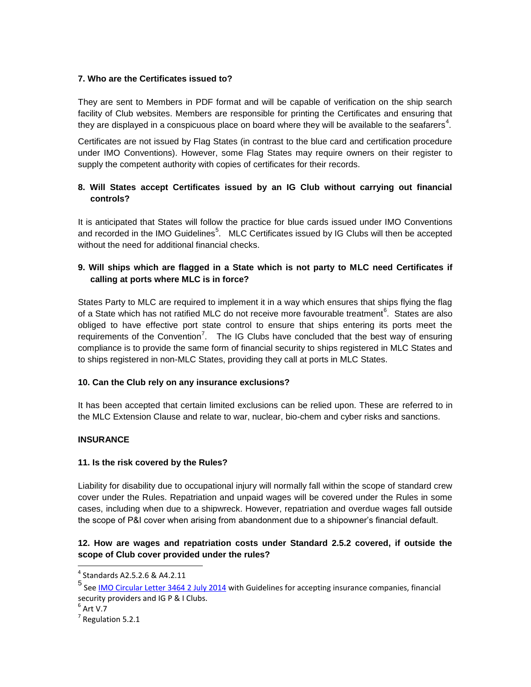## **7. Who are the Certificates issued to?**

They are sent to Members in PDF format and will be capable of verification on the ship search facility of Club websites. Members are responsible for printing the Certificates and ensuring that they are displayed in a conspicuous place on board where they will be available to the seafarers<sup>4</sup>.

Certificates are not issued by Flag States (in contrast to the blue card and certification procedure under IMO Conventions). However, some Flag States may require owners on their register to supply the competent authority with copies of certificates for their records.

# **8. Will States accept Certificates issued by an IG Club without carrying out financial controls?**

It is anticipated that States will follow the practice for blue cards issued under IMO Conventions and recorded in the IMO Guidelines<sup>5</sup>. MLC Certificates issued by IG Clubs will then be accepted without the need for additional financial checks.

# **9. Will ships which are flagged in a State which is not party to MLC need Certificates if calling at ports where MLC is in force?**

States Party to MLC are required to implement it in a way which ensures that ships flying the flag of a State which has not ratified MLC do not receive more favourable treatment<sup>6</sup>. States are also obliged to have effective port state control to ensure that ships entering its ports meet the requirements of the Convention<sup>7</sup>. The IG Clubs have concluded that the best way of ensuring compliance is to provide the same form of financial security to ships registered in MLC States and to ships registered in non-MLC States, providing they call at ports in MLC States.

## **10. Can the Club rely on any insurance exclusions?**

It has been accepted that certain limited exclusions can be relied upon. These are referred to in the MLC Extension Clause and relate to war, nuclear, bio-chem and cyber risks and sanctions.

## **INSURANCE**

## **11. Is the risk covered by the Rules?**

Liability for disability due to occupational injury will normally fall within the scope of standard crew cover under the Rules. Repatriation and unpaid wages will be covered under the Rules in some cases, including when due to a shipwreck. However, repatriation and overdue wages fall outside the scope of P&I cover when arising from abandonment due to a shipowner's financial default.

# **12. How are wages and repatriation costs under Standard 2.5.2 covered, if outside the scope of Club cover provided under the rules?**

**.** 

<sup>4</sup> Standards A2.5.2.6 & A4.2.11

<sup>&</sup>lt;sup>5</sup> See <u>IMO Circular Letter 3464 2 July 2014</u> with Guidelines for accepting insurance companies, financial security providers and IG P & I Clubs.

 $^6$  Art V.7

 $<sup>7</sup>$  Regulation 5.2.1</sup>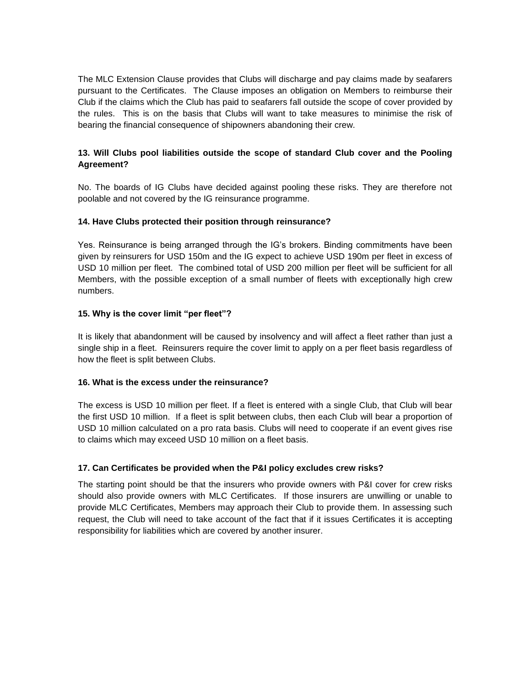The MLC Extension Clause provides that Clubs will discharge and pay claims made by seafarers pursuant to the Certificates. The Clause imposes an obligation on Members to reimburse their Club if the claims which the Club has paid to seafarers fall outside the scope of cover provided by the rules. This is on the basis that Clubs will want to take measures to minimise the risk of bearing the financial consequence of shipowners abandoning their crew.

# **13. Will Clubs pool liabilities outside the scope of standard Club cover and the Pooling Agreement?**

No. The boards of IG Clubs have decided against pooling these risks. They are therefore not poolable and not covered by the IG reinsurance programme.

## **14. Have Clubs protected their position through reinsurance?**

Yes. Reinsurance is being arranged through the IG's brokers. Binding commitments have been given by reinsurers for USD 150m and the IG expect to achieve USD 190m per fleet in excess of USD 10 million per fleet. The combined total of USD 200 million per fleet will be sufficient for all Members, with the possible exception of a small number of fleets with exceptionally high crew numbers.

#### **15. Why is the cover limit "per fleet"?**

It is likely that abandonment will be caused by insolvency and will affect a fleet rather than just a single ship in a fleet. Reinsurers require the cover limit to apply on a per fleet basis regardless of how the fleet is split between Clubs.

#### **16. What is the excess under the reinsurance?**

The excess is USD 10 million per fleet. If a fleet is entered with a single Club, that Club will bear the first USD 10 million. If a fleet is split between clubs, then each Club will bear a proportion of USD 10 million calculated on a pro rata basis. Clubs will need to cooperate if an event gives rise to claims which may exceed USD 10 million on a fleet basis.

## **17. Can Certificates be provided when the P&I policy excludes crew risks?**

The starting point should be that the insurers who provide owners with P&I cover for crew risks should also provide owners with MLC Certificates. If those insurers are unwilling or unable to provide MLC Certificates, Members may approach their Club to provide them. In assessing such request, the Club will need to take account of the fact that if it issues Certificates it is accepting responsibility for liabilities which are covered by another insurer.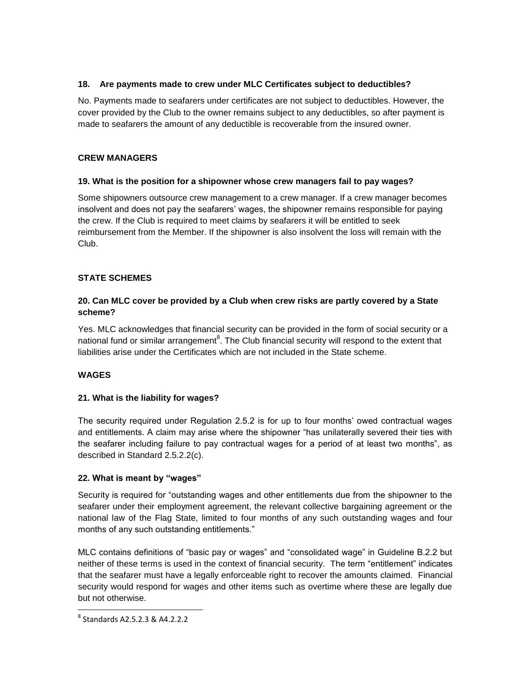## **18. Are payments made to crew under MLC Certificates subject to deductibles?**

No. Payments made to seafarers under certificates are not subject to deductibles. However, the cover provided by the Club to the owner remains subject to any deductibles, so after payment is made to seafarers the amount of any deductible is recoverable from the insured owner.

# **CREW MANAGERS**

# **19. What is the position for a shipowner whose crew managers fail to pay wages?**

Some shipowners outsource crew management to a crew manager. If a crew manager becomes insolvent and does not pay the seafarers' wages, the shipowner remains responsible for paying the crew. If the Club is required to meet claims by seafarers it will be entitled to seek reimbursement from the Member. If the shipowner is also insolvent the loss will remain with the Club.

# **STATE SCHEMES**

## **20. Can MLC cover be provided by a Club when crew risks are partly covered by a State scheme?**

Yes. MLC acknowledges that financial security can be provided in the form of social security or a national fund or similar arrangement<sup>8</sup>. The Club financial security will respond to the extent that liabilities arise under the Certificates which are not included in the State scheme.

# **WAGES**

## **21. What is the liability for wages?**

The security required under Regulation 2.5.2 is for up to four months' owed contractual wages and entitlements. A claim may arise where the shipowner "has unilaterally severed their ties with the seafarer including failure to pay contractual wages for a period of at least two months", as described in Standard 2.5.2.2(c).

## **22. What is meant by "wages"**

Security is required for "outstanding wages and other entitlements due from the shipowner to the seafarer under their employment agreement, the relevant collective bargaining agreement or the national law of the Flag State, limited to four months of any such outstanding wages and four months of any such outstanding entitlements."

MLC contains definitions of "basic pay or wages" and "consolidated wage" in Guideline B.2.2 but neither of these terms is used in the context of financial security. The term "entitlement" indicates that the seafarer must have a legally enforceable right to recover the amounts claimed. Financial security would respond for wages and other items such as overtime where these are legally due but not otherwise.

<sup>-&</sup>lt;br><sup>8</sup> Standards A2.5.2.3 & A4.2.2.2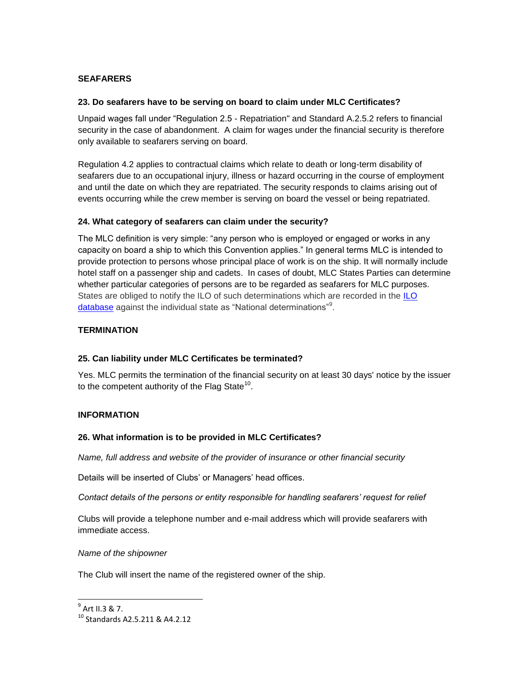## **SEAFARERS**

#### **23. Do seafarers have to be serving on board to claim under MLC Certificates?**

Unpaid wages fall under "Regulation 2.5 - Repatriation" and Standard A.2.5.2 refers to financial security in the case of abandonment. A claim for wages under the financial security is therefore only available to seafarers serving on board.

Regulation 4.2 applies to contractual claims which relate to death or long-term disability of seafarers due to an occupational injury, illness or hazard occurring in the course of employment and until the date on which they are repatriated. The security responds to claims arising out of events occurring while the crew member is serving on board the vessel or being repatriated.

#### **24. What category of seafarers can claim under the security?**

The MLC definition is very simple: "any person who is employed or engaged or works in any capacity on board a ship to which this Convention applies." In general terms MLC is intended to provide protection to persons whose principal place of work is on the ship. It will normally include hotel staff on a passenger ship and cadets. In cases of doubt, MLC States Parties can determine whether particular categories of persons are to be regarded as seafarers for MLC purposes. States are obliged to notify the ILO of such determinations which are recorded in the [ILO](http://www.ilo.org/global/standards/maritime-labour-convention/database-ratification-implementation/lang--en/index.htm)  [database](http://www.ilo.org/global/standards/maritime-labour-convention/database-ratification-implementation/lang--en/index.htm) against the individual state as "National determinations"<sup>9</sup>.

#### **TERMINATION**

#### **25. Can liability under MLC Certificates be terminated?**

Yes. MLC permits the termination of the financial security on at least 30 days' notice by the issuer to the competent authority of the Flag State<sup>10</sup>.

#### **INFORMATION**

#### **26. What information is to be provided in MLC Certificates?**

*Name, full address and website of the provider of insurance or other financial security*

Details will be inserted of Clubs' or Managers' head offices.

*Contact details of the persons or entity responsible for handling seafarers' request for relief* 

Clubs will provide a telephone number and e-mail address which will provide seafarers with immediate access.

*Name of the shipowner*

The Club will insert the name of the registered owner of the ship.

<sup>&</sup>lt;sup>9</sup> Art II.3 & 7.

<sup>10</sup> Standards A2.5.211 & A4.2.12